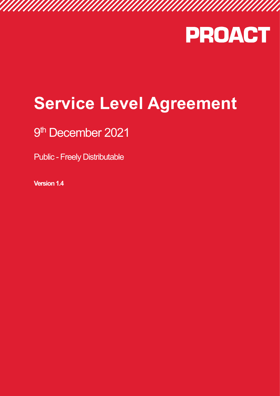

# **Service Level Agreement**

# 9 th December 2021

Public - Freely Distributable

**Version 1.4**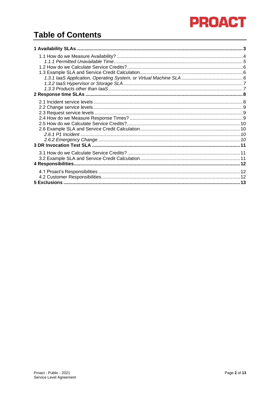# **Table of Contents**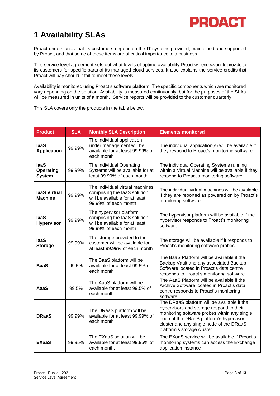# <span id="page-2-0"></span>**1 Availability SLAs**

Proact understands that its customers depend on the IT systems provided, maintained and supported by Proact, and that some of these items are of critical importance to a business.

This service level agreement sets out what levels of uptime availability Proact will endeavour to provide to its customers for specific parts of its managed cloud services. It also explains the service credits that Proact will pay should it fail to meet these levels.

Availability is monitored using Proact's software platform. The specific components which are monitored vary depending on the solution. Availability is measured continuously, but for the purposes of the SLAs will be measured in units of a month. Service reports will be provided to the customer quarterly.

This SLA covers only the products in the table below.

| <b>Product</b>                                   | <b>SLA</b> | <b>Monthly SLA Description</b>                                                                                            | <b>Elements monitored</b>                                                                                                                                                                                                                                     |
|--------------------------------------------------|------------|---------------------------------------------------------------------------------------------------------------------------|---------------------------------------------------------------------------------------------------------------------------------------------------------------------------------------------------------------------------------------------------------------|
| laaS<br><b>Application</b>                       | 99.99%     | The individual application<br>under management will be<br>available for at least 99.99% of<br>each month                  | The individual application(s) will be available if<br>they respond to Proact's monitoring software.                                                                                                                                                           |
| <b>laaS</b><br><b>Operating</b><br><b>System</b> | 99.99%     | The individual Operating<br>Systems will be available for at<br>least 99.99% of each month                                | The individual Operating Systems running<br>within a Virtual Machine will be available if they<br>respond to Proact's monitoring software.                                                                                                                    |
| laaS Virtual<br><b>Machine</b>                   | 99.99%     | The individual virtual machines<br>comprising the laaS solution<br>will be available for at least<br>99.99% of each month | The individual virtual machines will be available<br>if they are reported as powered on by Proact's<br>monitoring software.                                                                                                                                   |
| <b>laaS</b><br><b>Hypervisor</b>                 | 99.99%     | The hypervisor platform<br>comprising the laaS solution<br>will be available for at least<br>99.99% of each month         | The hypervisor platform will be available if the<br>hypervisor responds to Proact's monitoring<br>software.                                                                                                                                                   |
| <b>laaS</b><br><b>Storage</b>                    | 99.99%     | The storage provided to the<br>customer will be available for<br>at least 99.99% of each month                            | The storage will be available if it responds to<br>Proact's monitoring software probes.                                                                                                                                                                       |
| <b>BaaS</b>                                      | 99.5%      | The BaaS platform will be<br>available for at least 99.5% of<br>each month                                                | The BaaS Platform will be available if the<br>Backup Vault and any associated Backup<br>Software located in Proact's data centre<br>responds to Proact's monitoring software                                                                                  |
| AaaS                                             | 99.5%      | The AaaS platform will be<br>available for at least 99.5% of<br>each month                                                | The AaaS Platform will be available if the<br>Archive Software located in Proact's data<br>centre responds to Proact's monitoring<br>software                                                                                                                 |
| <b>DRaaS</b>                                     | 99.99%     | The DRaaS platform will be<br>available for at least 99.99% of<br>each month                                              | The DRaaS platform will be available if the<br>hypervisors and storage respond to their<br>monitoring software probes within any single<br>node of the DRaaS platform's hypervisor<br>cluster and any single node of the DRaaS<br>platform's storage cluster. |
| <b>EXaaS</b>                                     | 99.95%     | The EXaaS solution will be<br>available for at least 99.95% of<br>each month.                                             | The EXaaS service will be available if Proact's<br>monitoring systems can access the Exchange<br>application instance                                                                                                                                         |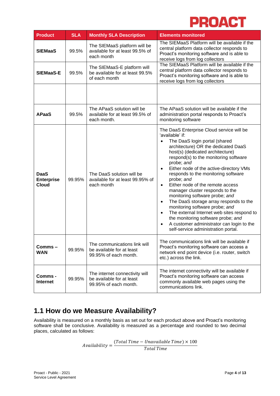| <b>Product</b>                                   | <b>SLA</b> | <b>Monthly SLA Description</b>                                                                                                                                                                   | <b>Elements monitored</b>                                                                                                                                                                                                                                                                                                                                                                                                                                                                                                                                                                                                                                                                                                                                     |  |
|--------------------------------------------------|------------|--------------------------------------------------------------------------------------------------------------------------------------------------------------------------------------------------|---------------------------------------------------------------------------------------------------------------------------------------------------------------------------------------------------------------------------------------------------------------------------------------------------------------------------------------------------------------------------------------------------------------------------------------------------------------------------------------------------------------------------------------------------------------------------------------------------------------------------------------------------------------------------------------------------------------------------------------------------------------|--|
| <b>SIEMaaS</b>                                   | 99.5%      | The SIEMaaS platform will be<br>available for at least 99.5% of<br>each month                                                                                                                    | The SIEMaaS Platform will be available if the<br>central platform data collector responds to<br>Proact's monitoring software and is able to<br>receive logs from log collectors                                                                                                                                                                                                                                                                                                                                                                                                                                                                                                                                                                               |  |
| <b>SIEMaaS-E</b>                                 | 99.5%      | The SIEMaaS-E platform will<br>be available for at least 99.5%<br>of each month                                                                                                                  | The SIEMaaS Platform will be available if the<br>central platform data collector responds to<br>Proact's monitoring software and is able to<br>receive logs from log collectors                                                                                                                                                                                                                                                                                                                                                                                                                                                                                                                                                                               |  |
|                                                  |            |                                                                                                                                                                                                  |                                                                                                                                                                                                                                                                                                                                                                                                                                                                                                                                                                                                                                                                                                                                                               |  |
| <b>APaaS</b>                                     | 99.5%      | The APaaS solution will be<br>The APaaS solution will be available if the<br>available for at least 99.5% of<br>administration portal responds to Proact's<br>monitoring software<br>each month. |                                                                                                                                                                                                                                                                                                                                                                                                                                                                                                                                                                                                                                                                                                                                                               |  |
| <b>DaaS</b><br><b>Enterprise</b><br><b>Cloud</b> | 99.95%     | The DaaS solution will be<br>available for at least 99.95% of<br>each month                                                                                                                      | The DaaS Enterprise Cloud service will be<br>'available' if:<br>The DaaS login portal (shared<br>architecture) OR the dedicated DaaS<br>host(s) (dedicated architecture)<br>respond(s) to the monitoring software<br>probe; and<br>Either node of the active-directory VMs<br>$\bullet$<br>responds to the monitoring software<br>probe; and<br>Either node of the remote access<br>$\bullet$<br>manager cluster responds to the<br>monitoring software probe; and<br>The DaaS storage array responds to the<br>$\bullet$<br>monitoring software probe; and<br>The external Internet web sites respond to<br>$\bullet$<br>the monitoring software probe; and<br>A customer administrator can login to the<br>$\bullet$<br>self-service administration portal. |  |
| Comms-<br><b>WAN</b>                             | 99.95%     | The communications link will<br>be available for at least<br>99.95% of each month.                                                                                                               | The communications link will be available if<br>Proact's monitoring software can access a<br>network end point device (i.e. router, switch<br>etc.) across the link.                                                                                                                                                                                                                                                                                                                                                                                                                                                                                                                                                                                          |  |
| Comms -<br><b>Internet</b>                       | 99.95%     | The internet connectivity will<br>be available for at least<br>99.95% of each month.                                                                                                             | The internet connectivity will be available if<br>Proact's monitoring software can access<br>commonly available web pages using the<br>communications link.                                                                                                                                                                                                                                                                                                                                                                                                                                                                                                                                                                                                   |  |

# <span id="page-3-0"></span>**1.1 How do we Measure Availability?**

Availability is measured on a monthly basis as set out for each product above and Proact's monitoring software shall be conclusive. Availability is measured as a percentage and rounded to two decimal places, calculated as follows:

> $\Delta \textit{validability} = \frac{(\textit{Total Time} - \textit{Unavailable Time}) \times 100}{\textit{Total Time}}$ Total Time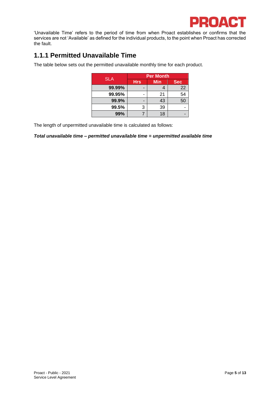

'Unavailable Time' refers to the period of time from when Proact establishes or confirms that the services are not 'Available' as defined for the individual products, to the point when Proact has corrected the fault.

### <span id="page-4-0"></span>**1.1.1 Permitted Unavailable Time**

The table below sets out the permitted unavailable monthly time for each product.

|            | <b>Per Month</b> |            |            |
|------------|------------------|------------|------------|
| <b>SLA</b> | <b>Hrs</b>       | <b>Min</b> | <b>Sec</b> |
| 99.99%     |                  |            | 22         |
| 99.95%     |                  | 21         | 54         |
| 99.9%      |                  | 43         | 50         |
| 99.5%      | 3                | 39         |            |
| 99%        |                  | 18         |            |

The length of unpermitted unavailable time is calculated as follows:

*Total unavailable time – permitted unavailable time = unpermitted available time*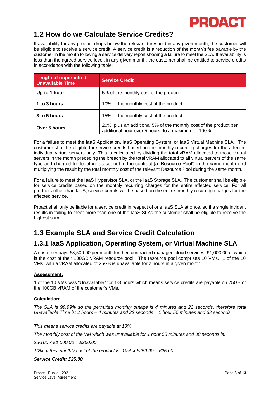### <span id="page-5-0"></span>**1.2 How do we Calculate Service Credits?**

If availability for any product drops below the relevant threshold in any given month, the customer will be eligible to receive a service credit. A service credit is a reduction of the month's fee payable by the customer in the month following a service delivery report showing a failure to meet the SLA. If availability is less than the agreed service level, in any given month, the customer shall be entitled to service credits in accordance with the following table:

| <b>Length of unpermitted</b><br><b>Unavailable Time</b> | <b>Service Credit</b>                                                                                                    |  |
|---------------------------------------------------------|--------------------------------------------------------------------------------------------------------------------------|--|
| Up to 1 hour                                            | 5% of the monthly cost of the product.                                                                                   |  |
| 1 to 3 hours                                            | 10% of the monthly cost of the product.                                                                                  |  |
| 3 to 5 hours<br>15% of the monthly cost of the product. |                                                                                                                          |  |
| Over 5 hours                                            | 20%, plus an additional 5% of the monthly cost of the product per<br>additional hour over 5 hours, to a maximum of 100%. |  |

For a failure to meet the IaaS Application, IaaS Operating System, or IaaS Virtual Machine SLA. The customer shall be eligible for service credits based on the monthly recurring charges for the affected individual virtual servers only. This is calculated by dividing the total vRAM allocated to those virtual servers in the month preceding the breach by the total vRAM allocated to all virtual servers of the same type and charged for together as set out in the contract (a 'Resource Pool') in the same month and multiplying the result by the total monthly cost of the relevant Resource Pool during the same month.

For a failure to meet the IaaS Hypervisor SLA, or the IaaS Storage SLA. The customer shall be eligible for service credits based on the monthly recurring charges for the entire affected service. For all products other than IaaS, service credits will be based on the entire monthly recurring charges for the affected service.

Proact shall only be liable for a service credit in respect of one IaaS SLA at once, so if a single incident results in failing to meet more than one of the IaaS SLAs the customer shall be eligible to receive the highest sum.

## <span id="page-5-1"></span>**1.3 Example SLA and Service Credit Calculation**

### <span id="page-5-2"></span>**1.3.1 IaaS Application, Operating System, or Virtual Machine SLA**

A customer pays £3,500.00 per month for their contracted managed cloud services, £1,000.00 of which is the cost of their 100GB vRAM resource pool. The resource pool comprises 10 VMs. 1 of the 10 VMs, with a vRAM allocated of 25GB is unavailable for 2 hours in a given month.

### **Assessment:**

1 of the 10 VMs was "Unavailable" for 1-3 hours which means service credits are payable on 25GB of the 100GB vRAM of the customer's VMs.

### **Calculation:**

*The SLA is 99.99% so the permitted monthly outage is 4 minutes and 22 seconds, therefore total Unavailable Time is: 2 hours – 4 minutes and 22 seconds = 1 hour 55 minutes and 38 seconds*

*This means service credits are payable at 10%*

*The monthly cost of the VM which was unavailable for 1 hour 55 minutes and 38 seconds is:* 

*25/100 x £1,000.00 = £250.00* 

*10% of this monthly cost of the product is: 10% x £250.00 = £25.00*

*Service Credit: £25.00*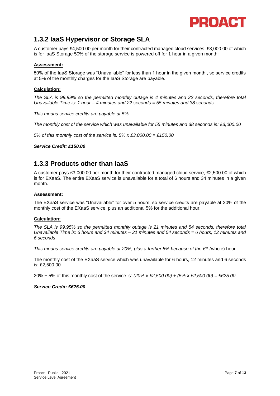

### <span id="page-6-0"></span>**1.3.2 IaaS Hypervisor or Storage SLA**

A customer pays £4,500.00 per month for their contracted managed cloud services, £3,000.00 of which is for IaaS Storage 50% of the storage service is powered off for 1 hour in a given month:

#### **Assessment:**

50% of the IaaS Storage was "Unavailable" for less than 1 hour in the given month., so service credits at 5% of the monthly charges for the IaaS Storage are payable.

#### **Calculation:**

*The SLA is 99.99% so the permitted monthly outage is 4 minutes and 22 seconds, therefore total Unavailable Time is: 1 hour – 4 minutes and 22 seconds = 55 minutes and 38 seconds*

*This means service credits are payable at 5%*

*The monthly cost of the service which was unavailable for 55 minutes and 38 seconds is: £3,000.00*

*5% of this monthly cost of the service is: 5% x £3,000.00 = £150.00*

#### *Service Credit: £150.00*

### <span id="page-6-1"></span>**1.3.3 Products other than IaaS**

A customer pays £3,000.00 per month for their contracted managed cloud service, £2,500.00 of which is for EXaaS. The entire EXaaS service is unavailable for a total of 6 hours and 34 minutes in a given month.

#### **Assessment:**

The EXaaS service was "Unavailable" for over 5 hours, so service credits are payable at 20% of the monthly cost of the EXaaS service, plus an additional 5% for the additional hour.

#### **Calculation:**

*The SLA is 99.95% so the permitted monthly outage is 21 minutes and 54 seconds, therefore total Unavailable Time is: 6 hours and 34 minutes – 21 minutes and 54 seconds = 6 hours, 12 minutes and 6 seconds*

*This means service credits are payable at 20%, plus a further 5% because of the 6th (*whole) hour.

The monthly cost of the EXaaS service which was unavailable for 6 hours, 12 minutes and 6 seconds is: £2,500.00

20% + 5% of this monthly cost of the service is: *(20% x £2,500.00) + (5% x £2,500.00) = £625.00*

#### *Service Credit: £625.00*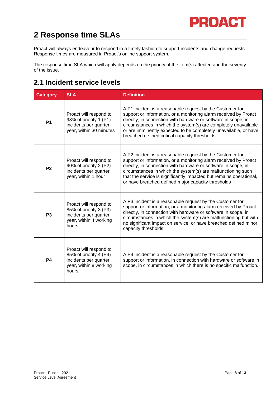# <span id="page-7-0"></span>**2 Response time SLAs**

Proact will always endeavour to respond in a timely fashion to support incidents and change requests. Response times are measured in Proact's online support system.

The response time SLA which will apply depends on the priority of the item(s) affected and the severity of the issue.

# <span id="page-7-1"></span>**2.1 Incident service levels**

| <b>Category</b> | <b>SLA</b>                                                                                                   | <b>Definition</b>                                                                                                                                                                                                                                                                                                                                                                            |
|-----------------|--------------------------------------------------------------------------------------------------------------|----------------------------------------------------------------------------------------------------------------------------------------------------------------------------------------------------------------------------------------------------------------------------------------------------------------------------------------------------------------------------------------------|
| <b>P1</b>       | Proact will respond to<br>98% of priority 1 (P1)<br>incidents per quarter<br>year, within 30 minutes         | A P1 incident is a reasonable request by the Customer for<br>support or information, or a monitoring alarm received by Proact<br>directly, in connection with hardware or software in scope, in<br>circumstances in which the system(s) are completely unavailable<br>or are imminently expected to be completely unavailable, or have<br>breached defined critical capacity thresholds      |
| P <sub>2</sub>  | Proact will respond to<br>90% of priority 2 (P2)<br>incidents per quarter<br>year, within 1 hour             | A P2 incident is a reasonable request by the Customer for<br>support or information, or a monitoring alarm received by Proact<br>directly, in connection with hardware or software in scope, in<br>circumstances in which the system(s) are malfunctioning such<br>that the service is significantly impacted but remains operational,<br>or have breached defined major capacity thresholds |
| P <sub>3</sub>  | Proact will respond to<br>85% of priority 3 (P3)<br>incidents per quarter<br>year, within 4 working<br>hours | A P3 incident is a reasonable request by the Customer for<br>support or information, or a monitoring alarm received by Proact<br>directly, in connection with hardware or software in scope, in<br>circumstances in which the system(s) are malfunctioning but with<br>no significant impact on service, or have breached defined minor<br>capacity thresholds                               |
| P <sub>4</sub>  | Proact will respond to<br>85% of priority 4 (P4)<br>incidents per quarter<br>year, within 8 working<br>hours | A P4 incident is a reasonable request by the Customer for<br>support or information, in connection with hardware or software in<br>scope, in circumstances in which there is no specific malfunction.                                                                                                                                                                                        |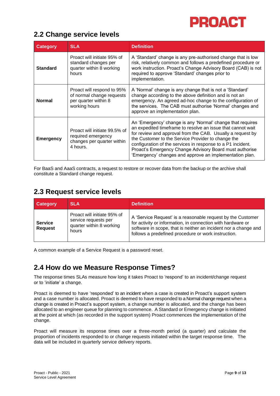## <span id="page-8-0"></span>**2.2 Change service levels**

| <b>Category</b>  | <b>SLA</b>                                                                                       | <b>Definition</b>                                                                                                                                                                                                                                                                                                                                                                                                                  |
|------------------|--------------------------------------------------------------------------------------------------|------------------------------------------------------------------------------------------------------------------------------------------------------------------------------------------------------------------------------------------------------------------------------------------------------------------------------------------------------------------------------------------------------------------------------------|
| <b>Standard</b>  | Proact will initiate 95% of<br>standard changes per<br>quarter within 8 working<br>hours         | A 'Standard' change is any pre-authorised change that is low<br>risk, relatively common and follows a predefined procedure or<br>work instruction. Proact's Change Advisory Board (CAB) is not<br>required to approve 'Standard' changes prior to<br>implementation.                                                                                                                                                               |
| <b>Normal</b>    | Proact will respond to 95%<br>of normal change requests<br>per quarter within 8<br>working hours | A 'Normal' change is any change that is not a 'Standard'<br>change according to the above definition and is not an<br>emergency. An agreed ad-hoc change to the configuration of<br>the services. The CAB must authorise 'Normal' changes and<br>approve an implementation plan.                                                                                                                                                   |
| <b>Emergency</b> | Proact will initiate 99.5% of<br>required emergency<br>changes per quarter within<br>4 hours.    | An 'Emergency' change is any 'Normal' change that requires<br>an expedited timeframe to resolve an issue that cannot wait<br>for review and approval from the CAB. Usually a request by<br>the Customer to the Service Provider to change the<br>configuration of the services in response to a P1 incident.<br>Proact's Emergency Change Advisory Board must authorise<br>'Emergency' changes and approve an implementation plan. |

For BaaS and AaaS contracts, a request to restore or recover data from the backup or the archive shall constitute a Standard change request.

## <span id="page-8-1"></span>**2.3 Request service levels**

| <b>Category</b>                  | <b>SLA</b>                                                                               | <b>Definition</b>                                                                                                                                                                                                                                    |
|----------------------------------|------------------------------------------------------------------------------------------|------------------------------------------------------------------------------------------------------------------------------------------------------------------------------------------------------------------------------------------------------|
| <b>Service</b><br><b>Request</b> | Proact will initiate 95% of<br>service requests per<br>quarter within 8 working<br>hours | A 'Service Request' is a reasonable request by the Customer<br>for activity or information, in connection with hardware or<br>software in scope, that is neither an incident nor a change and<br>follows a predefined procedure or work instruction. |

A common example of a Service Request is a password reset.

## <span id="page-8-2"></span>**2.4 How do we Measure Response Times?**

The response times SLAs measure how long it takes Proact to 'respond' to an incident/change request or to 'initiate' a change.

Proact is deemed to have 'responded' to an incident when a case is created in Proact's support system and a case number is allocated. Proact is deemed to have responded to a Normal change request when a change is created in Proact's support system, a change number is allocated, and the change has been allocated to an engineer queue for planning to commence. A Standard or Emergency change is initiated at the point at which (as recorded in the support system) Proact commences the implementation of the change.

Proact will measure its response times over a three-month period (a quarter) and calculate the proportion of incidents responded to or change requests initiated within the target response time. The data will be included in quarterly service delivery reports.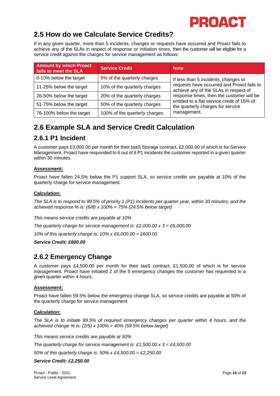

### <span id="page-9-0"></span>**2.5 How do we Calculate Service Credits?**

If in any given quarter, more than 5 incidents, changes or requests have occurred and Proact fails to achieve any of the SLAs in respect of response or initiation times, then the customer will be eligible for a service credit against the charges for service management as follows:

| <b>Amount by which Proact</b><br>fails to meet the SLA | <b>Service Credit</b>         | <b>Note</b>                                                                         |
|--------------------------------------------------------|-------------------------------|-------------------------------------------------------------------------------------|
| 0-10% below the target                                 | 5% of the quarterly charges   | If less than 5 incidents, changes or                                                |
| 11-25% below the target                                | 10% of the quarterly charges  | requests have occurred and Proact fails to<br>achieve any of the SLAs in respect of |
| 26-50% below the target                                | 20% of the quarterly charges  | response times, then the customer will be                                           |
| 51-75% below the target                                | 50% of the quarterly charges  | entitled to a flat service credit of 15% of<br>the quarterly charges for service    |
| 76-100% below the target                               | 100% of the quarterly charges | management.                                                                         |

# <span id="page-9-1"></span>**2.6 Example SLA and Service Credit Calculation**

### <span id="page-9-2"></span>**2.6.1 P1 Incident**

A customer pays £3,000.00 per month for their IaaS Storage contract, £2,000.00 of which is for Service Management. Proact have responded to 6 out of 8 P1 incidents the customer reported in a given quarter within 30 minutes.

### **Assessment:**

Proact have fallen 24.5% below the P1 support SLA, so service credits are payable at 10% of the quarterly charge for service management.

### **Calculation:**

*The SLA is to respond to 99.5% of priority 1 (P1) incidents per quarter year, within 30 minutes, and the achieved response % is: (6/8) x 100% = 75% (24.5% below target)*

*This means service credits are payable at 10%*

*The quarterly charge for service management is: £2,000.00 x 3 = £6,000.00*

*10% of this quarterly charge is: 10% x £6,000.00 = £600.00*

*Service Credit: £600.00*

### <span id="page-9-3"></span>**2.6.2 Emergency Change**

A customer pays £4,500.00 per month for their IaaS contract, £1,500.00 of which is for service management. Proact have initiated 2 of the 5 emergency changes the customer has requested in a given quarter within 4 hours:

### **Assessment:**

Proact have fallen 59.5% below the emergency change SLA, so service credits are payable at 50% of the quarterly charge for service management

### **Calculation:**

*The SLA is to initiate 99.5% of required emergency changes per quarter within 4 hours, and the achieved change % is: (2/5) x 100% = 40% (59.5% below target)*

*This means service credits are payable at 50%*

*The quarterly charge for service management is: £1,500.00 x 3 = £4,500.00*

*50% of this quarterly charge is: 50% x £4,500.00 = £2,250.00*

*Service Credit: £2,250.00*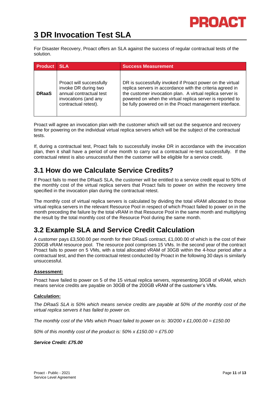

# <span id="page-10-0"></span>**3 DR Invocation Test SLA**

For Disaster Recovery, Proact offers an SLA against the success of regular contractual tests of the solution.

| <b>Product</b> | <b>SLA</b>                                                                                                                  | <b>Success Measurement</b>                                                                                                                                                                                                                                                                                  |
|----------------|-----------------------------------------------------------------------------------------------------------------------------|-------------------------------------------------------------------------------------------------------------------------------------------------------------------------------------------------------------------------------------------------------------------------------------------------------------|
| <b>DRaaS</b>   | Proact will successfully<br>invoke DR during two<br>annual contractual test<br>invocations (and any<br>contractual retest). | DR is successfully invoked if Proact power on the virtual<br>replica servers in accordance with the criteria agreed in<br>the customer invocation plan. A virtual replica server is<br>powered on when the virtual replica server is reported to<br>be fully powered on in the Proact management interface. |

Proact will agree an invocation plan with the customer which will set out the sequence and recovery time for powering on the individual virtual replica servers which will be the subject of the contractual tests.

If, during a contractual test, Proact fails to successfully invoke DR in accordance with the invocation plan, then it shall have a period of one month to carry out a contractual re-test successfully. If the contractual retest is also unsuccessful then the customer will be eligible for a service credit.

### <span id="page-10-1"></span>**3.1 How do we Calculate Service Credits?**

If Proact fails to meet the DRaaS SLA, the customer will be entitled to a service credit equal to 50% of the monthly cost of the virtual replica servers that Proact fails to power on within the recovery time specified in the invocation plan during the contractual retest.

The monthly cost of virtual replica servers is calculated by dividing the total vRAM allocated to those virtual replica servers in the relevant Resource Pool in respect of which Proact failed to power on in the month preceding the failure by the total vRAM in that Resource Pool in the same month and multiplying the result by the total monthly cost of the Resource Pool during the same month.

## <span id="page-10-2"></span>**3.2 Example SLA and Service Credit Calculation**

A customer pays £3,500.00 per month for their DRaaS contract, £1,000.00 of which is the cost of their 200GB vRAM resource pool. The resource pool comprises 15 VMs. In the second year of the contract Proact fails to power on 5 VMs, with a total allocated vRAM of 30GB within the 4-hour period after a contractual test, and then the contractual retest conducted by Proact in the following 30 days is similarly unsuccessful.

### **Assessment:**

Proact have failed to power on 5 of the 15 virtual replica servers, representing 30GB of vRAM, which means service credits are payable on 30GB of the 200GB vRAM of the customer's VMs.

### **Calculation:**

*The DRaaS SLA is 50% which means service credits are payable at 50% of the monthly cost of the virtual replica servers it has failed to power on.* 

*The monthly cost of the VMs which Proact failed to power on is: 30/200 x £1,000.00 = £150.00* 

*50% of this monthly cost of the product is: 50% x £150.00 = £75.00*

*Service Credit: £75.00*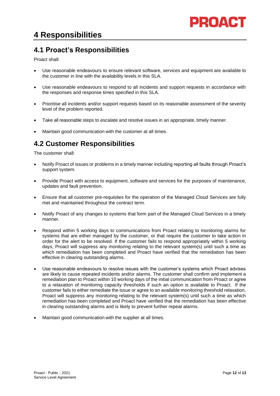# <span id="page-11-0"></span>**4 Responsibilities**

# <span id="page-11-1"></span>**4.1 Proact's Responsibilities**

Proact shall:

- Use reasonable endeavours to ensure relevant software, services and equipment are available to the customer in line with the availability levels in this SLA.
- Use reasonable endeavours to respond to all incidents and support requests in accordance with the responses and response times specified in this SLA.
- Prioritise all incidents and/or support requests based on its reasonable assessment of the severity level of the problem reported.
- Take all reasonable steps to escalate and resolve issues in an appropriate, timely manner.
- Maintain good communication with the customer at all times.

# <span id="page-11-2"></span>**4.2 Customer Responsibilities**

The customer shall:

- Notify Proact of issues or problems in a timely manner including reporting all faults through Proact's support system.
- Provide Proact with access to equipment, software and services for the purposes of maintenance, updates and fault prevention.
- Ensure that all customer pre-requisites for the operation of the Managed Cloud Services are fully met and maintained throughout the contract term.
- Notify Proact of any changes to systems that form part of the Managed Cloud Services in a timely manner.
- Respond within 5 working days to communications from Proact relating to monitoring alarms for systems that are either managed by the customer, or that require the customer to take action in order for the alert to be resolved. If the customer fails to respond appropriately within 5 working days, Proact will suppress any monitoring relating to the relevant system(s) until such a time as which remediation has been completed and Proact have verified that the remediation has been effective in clearing outstanding alarms.
- Use reasonable endeavours to resolve issues with the customer's systems which Proact advises are likely to cause repeated incidents and/or alarms. The customer shall confirm and implement a remediation plan to Proact within 10 working days of the initial communication from Proact or agree to a relaxation of monitoring capacity thresholds if such an option is available to Proact. If the customer fails to either remediate the issue or agree to an available monitoring threshold relaxation, Proact will suppress any monitoring relating to the relevant system(s) until such a time as which remediation has been completed and Proact have verified that the remediation has been effective in clearing outstanding alarms and is likely to prevent further repeat alarms.
- Maintain good communication with the supplier at all times.